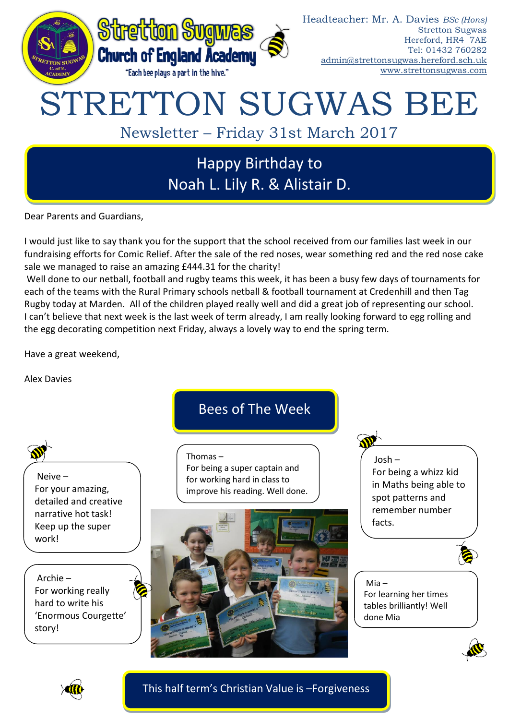

Dear Parents and Guardians,

I would just like to say thank you for the support that the school received from our families last week in our fundraising efforts for Comic Relief. After the sale of the red noses, wear something red and the red nose cake sale we managed to raise an amazing £444.31 for the charity!

Well done to our netball, football and rugby teams this week, it has been a busy few days of tournaments for each of the teams with the Rural Primary schools netball & football tournament at Credenhill and then Tag Rugby today at Marden. All of the children played really well and did a great job of representing our school. I can't believe that next week is the last week of term already, I am really looking forward to egg rolling and the egg decorating competition next Friday, always a lovely way to end the spring term.

Have a great weekend,

Alex Davies





This half term's Christian Value is –Forgiveness